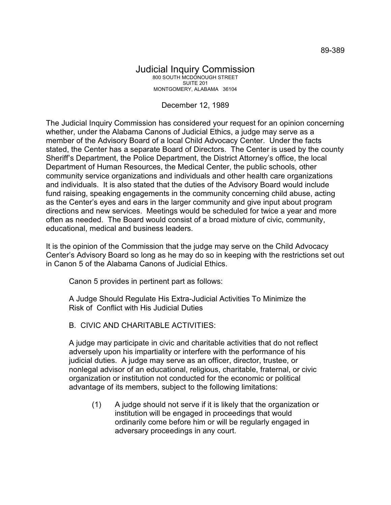## Judicial Inquiry Commission 800 SOUTH MCDONOUGH STREET SUITE 201 MONTGOMERY, ALABAMA 36104

## December 12, 1989

The Judicial Inquiry Commission has considered your request for an opinion concerning whether, under the Alabama Canons of Judicial Ethics, a judge may serve as a member of the Advisory Board of a local Child Advocacy Center. Under the facts stated, the Center has a separate Board of Directors. The Center is used by the county Sheriff's Department, the Police Department, the District Attorney's office, the local Department of Human Resources, the Medical Center, the public schools, other community service organizations and individuals and other health care organizations and individuals. It is also stated that the duties of the Advisory Board would include fund raising, speaking engagements in the community concerning child abuse, acting as the Center's eyes and ears in the larger community and give input about program directions and new services. Meetings would be scheduled for twice a year and more often as needed. The Board would consist of a broad mixture of civic, community, educational, medical and business leaders.

It is the opinion of the Commission that the judge may serve on the Child Advocacy Center's Advisory Board so long as he may do so in keeping with the restrictions set out in Canon 5 of the Alabama Canons of Judicial Ethics.

Canon 5 provides in pertinent part as follows:

A Judge Should Regulate His Extra-Judicial Activities To Minimize the Risk of Conflict with His Judicial Duties

## B. CIVIC AND CHARITABLE ACTIVITIES:

A judge may participate in civic and charitable activities that do not reflect adversely upon his impartiality or interfere with the performance of his judicial duties. A judge may serve as an officer, director, trustee, or nonlegal advisor of an educational, religious, charitable, fraternal, or civic organization or institution not conducted for the economic or political advantage of its members, subject to the following limitations:

(1) A judge should not serve if it is likely that the organization or institution will be engaged in proceedings that would ordinarily come before him or will be regularly engaged in adversary proceedings in any court.